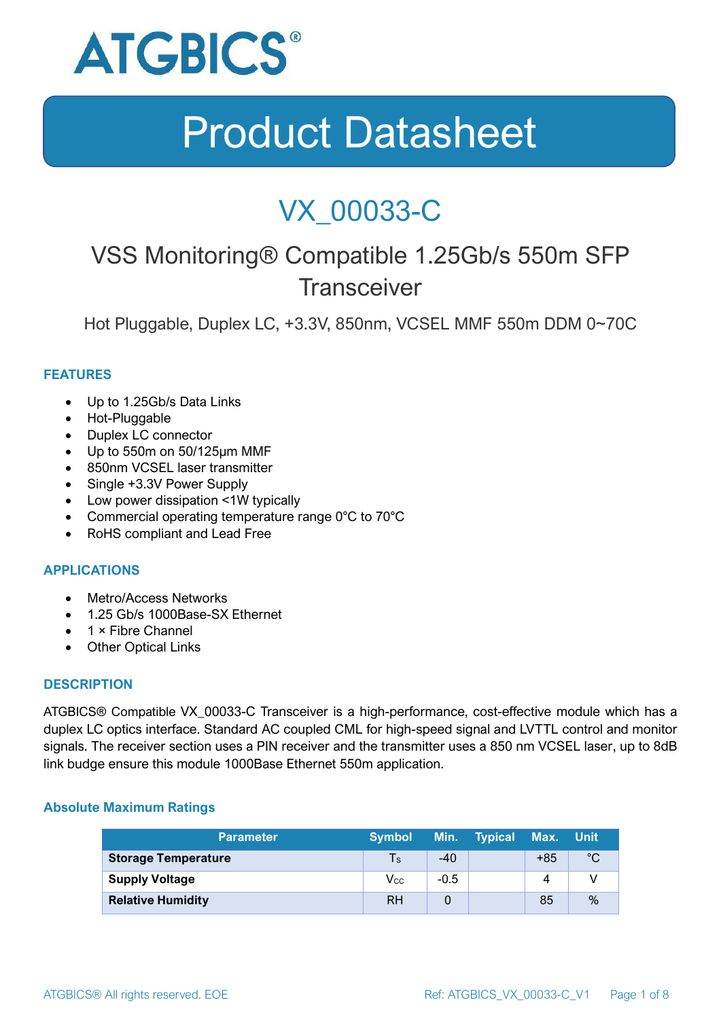

### VX\_00033-C

### VSS Monitoring® Compatible 1.25Gb/s 550m SFP **Transceiver**

Hot Pluggable, Duplex LC, +3.3V, 850nm, VCSEL MMF 550m DDM 0~70C

#### **FEATURES**

- Up to 1.25Gb/s Data Links
- Hot-Pluggable
- Duplex LC connector
- Up to 550m on 50/125μm MMF
- 850nm VCSEL laser transmitter
- Single +3.3V Power Supply
- Low power dissipation <1W typically
- Commercial operating temperature range 0°C to 70°C
- RoHS compliant and Lead Free

#### **APPLICATIONS**

- Metro/Access Networks
- 1.25 Gb/s 1000Base-SX Ethernet
- 1 × Fibre Channel
- Other Optical Links

#### **DESCRIPTION**

ATGBICS® Compatible VX\_00033-C Transceiver is a high-performance, cost-effective module which has a duplex LC optics interface. Standard AC coupled CML for high-speed signal and LVTTL control and monitor signals. The receiver section uses a PIN receiver and the transmitter uses a 850 nm VCSEL laser, up to 8dB link budge ensure this module 1000Base Ethernet 550m application.

#### **Absolute Maximum Ratings**

| <b>Parameter</b>           | <b>Symbol</b>              |        | Min. Typical Max. |       | <b>⊥Unit</b> |
|----------------------------|----------------------------|--------|-------------------|-------|--------------|
| <b>Storage Temperature</b> | $\mathsf{Ts}$              | $-40$  |                   | $+85$ | $^{\circ}C$  |
| <b>Supply Voltage</b>      | $\mathsf{V}_{\mathsf{CC}}$ | $-0.5$ |                   |       |              |
| <b>Relative Humidity</b>   | RH                         |        |                   | 85    | %            |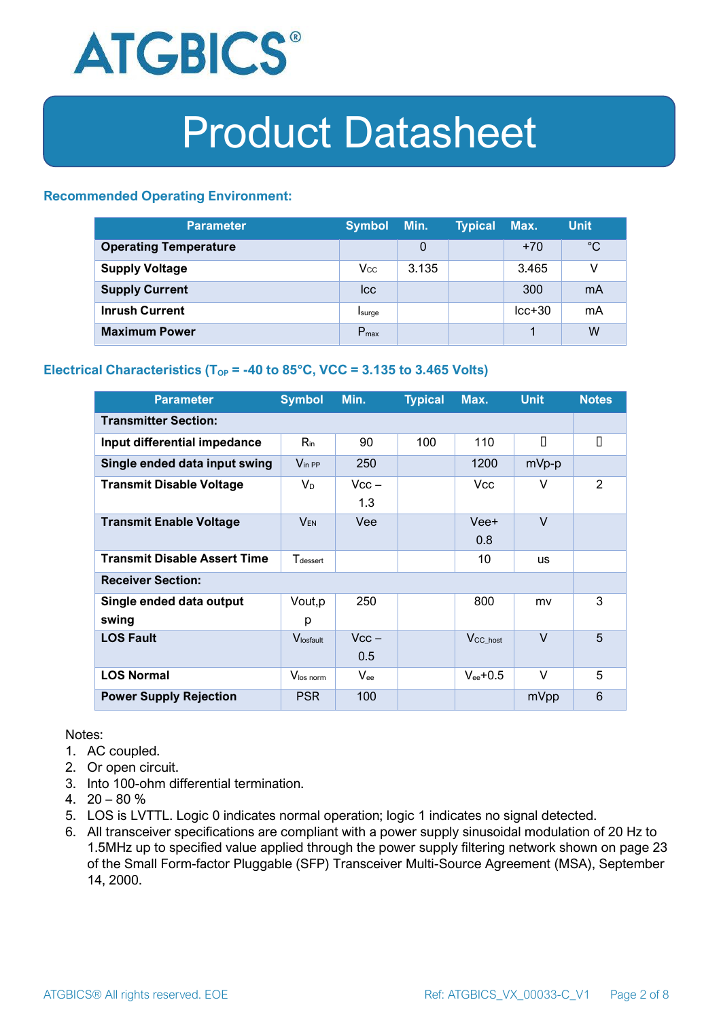

#### **Recommended Operating Environment:**

| <b>Parameter</b>             | <b>Symbol</b>    | Min.  | <b>Typical</b> | Max.     | <b>Unit</b> |
|------------------------------|------------------|-------|----------------|----------|-------------|
| <b>Operating Temperature</b> |                  | 0     |                | $+70$    | $^{\circ}C$ |
| <b>Supply Voltage</b>        | $V_{\rm CC}$     | 3.135 |                | 3.465    | v           |
| <b>Supply Current</b>        | <b>Icc</b>       |       |                | 300      | mA          |
| <b>Inrush Current</b>        | Isurge           |       |                | $lcc+30$ | mA          |
| <b>Maximum Power</b>         | $P_{\text{max}}$ |       |                |          | W           |

#### **Electrical Characteristics** ( $T_{OP}$  = -40 to 85°C, VCC = 3.135 to 3.465 Volts)

| <b>Parameter</b>                    | <b>Symbol</b>         | Min.           | <b>Typical</b> | Max.                 | <b>Unit</b> | <b>Notes</b>   |  |
|-------------------------------------|-----------------------|----------------|----------------|----------------------|-------------|----------------|--|
| <b>Transmitter Section:</b>         |                       |                |                |                      |             |                |  |
| Input differential impedance        | $R_{\rm in}$          | 90             | 100            | 110                  | П           | О              |  |
| Single ended data input swing       | $V_{\text{in PP}}$    | 250            |                | 1200                 | mVp-p       |                |  |
| <b>Transmit Disable Voltage</b>     | $V_D$                 | $Vcc -$<br>1.3 |                | Vcc                  | V           | $\mathfrak{p}$ |  |
| <b>Transmit Enable Voltage</b>      | $V_{EN}$              | Vee            |                | Vee+<br>0.8          | $\vee$      |                |  |
| <b>Transmit Disable Assert Time</b> | $T_{\text{desset}}$   |                |                | 10                   | <b>US</b>   |                |  |
| <b>Receiver Section:</b>            |                       |                |                |                      |             |                |  |
| Single ended data output<br>swing   | Vout, p<br>р          | 250            |                | 800                  | mv          | 3              |  |
| <b>LOS Fault</b>                    | V <sub>losfault</sub> | $Vcc -$<br>0.5 |                | V <sub>CC_host</sub> | $\vee$      | 5              |  |
| <b>LOS Normal</b>                   | $V_{\text{los norm}}$ | $V_{\rm ee}$   |                | $V_{ee}$ +0.5        | $\vee$      | 5              |  |
| <b>Power Supply Rejection</b>       | <b>PSR</b>            | 100            |                |                      | mVpp        | 6              |  |

Notes:

- 1. AC coupled.
- 2. Or open circuit.
- 3. Into 100-ohm differential termination.
- 4.  $20 80 \%$
- 5. LOS is LVTTL. Logic 0 indicates normal operation; logic 1 indicates no signal detected.
- 6. All transceiver specifications are compliant with a power supply sinusoidal modulation of 20 Hz to 1.5MHz up to specified value applied through the power supply filtering network shown on page 23 of the Small Form-factor Pluggable (SFP) Transceiver Multi-Source Agreement (MSA), September 14, 2000.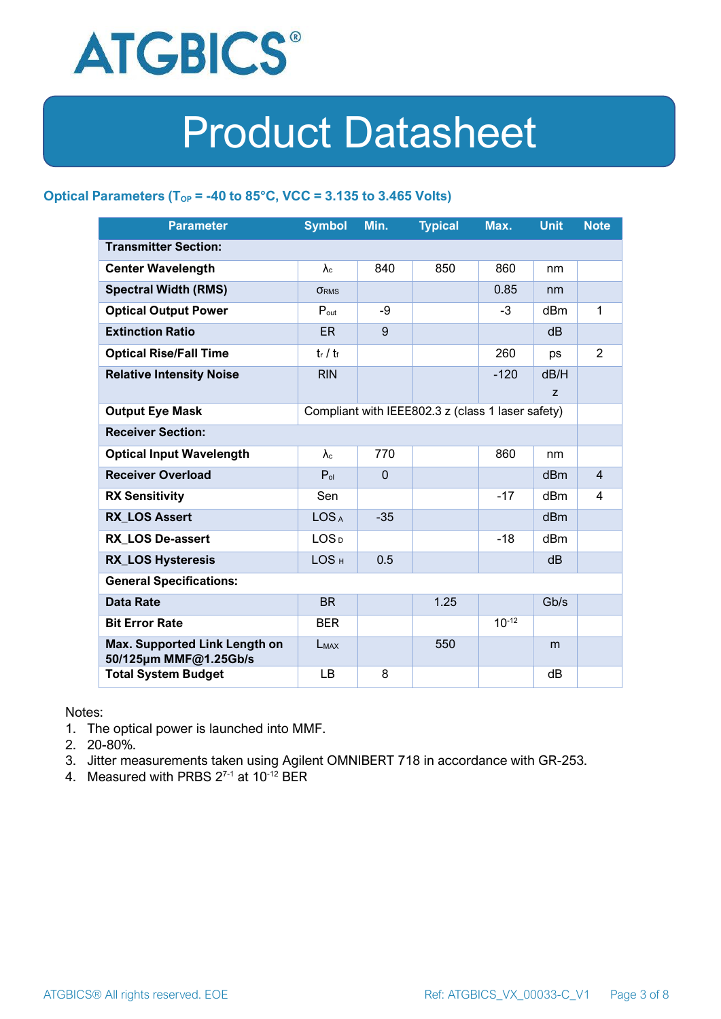

#### **Optical Parameters** ( $T_{OP}$  = -40 to 85°C, VCC = 3.135 to 3.465 Volts)

| <b>Parameter</b>                                       | <b>Symbol</b>                                     | Min.         | <b>Typical</b> | Max.       | <b>Unit</b>     | <b>Note</b>    |
|--------------------------------------------------------|---------------------------------------------------|--------------|----------------|------------|-----------------|----------------|
| <b>Transmitter Section:</b>                            |                                                   |              |                |            |                 |                |
| <b>Center Wavelength</b>                               | $\lambda_c$                                       | 840          | 850            | 860        | nm              |                |
| <b>Spectral Width (RMS)</b>                            | <b>ORMS</b>                                       |              |                | 0.85       | nm              |                |
| <b>Optical Output Power</b>                            | $P_{\text{out}}$                                  | -9           |                | $-3$       | dBm             | 1              |
| <b>Extinction Ratio</b>                                | <b>ER</b>                                         | 9            |                |            | dB              |                |
| <b>Optical Rise/Fall Time</b>                          | $t_r / t_f$                                       |              |                | 260        | ps              | $\overline{2}$ |
| <b>Relative Intensity Noise</b>                        | <b>RIN</b>                                        |              |                | $-120$     | dB/H            |                |
|                                                        |                                                   |              |                |            | z               |                |
| <b>Output Eye Mask</b>                                 | Compliant with IEEE802.3 z (class 1 laser safety) |              |                |            |                 |                |
| <b>Receiver Section:</b>                               |                                                   |              |                |            |                 |                |
| <b>Optical Input Wavelength</b>                        | $\lambda$ <sub>c</sub>                            | 770          |                | 860        | nm              |                |
| <b>Receiver Overload</b>                               | $P_{ol}$                                          | $\mathbf{0}$ |                |            | dBm             | $\overline{4}$ |
| <b>RX Sensitivity</b>                                  | Sen                                               |              |                | $-17$      | dB <sub>m</sub> | 4              |
| <b>RX LOS Assert</b>                                   | LOS <sub>A</sub>                                  | $-35$        |                |            | dB <sub>m</sub> |                |
| <b>RX LOS De-assert</b>                                | LOS <sub>D</sub>                                  |              |                | $-18$      | dBm             |                |
| <b>RX_LOS Hysteresis</b>                               | LOS <sub>H</sub>                                  | 0.5          |                |            | dB              |                |
| <b>General Specifications:</b>                         |                                                   |              |                |            |                 |                |
| <b>Data Rate</b>                                       | <b>BR</b>                                         |              | 1.25           |            | Gb/s            |                |
| <b>Bit Error Rate</b>                                  | <b>BER</b>                                        |              |                | $10^{-12}$ |                 |                |
| Max. Supported Link Length on<br>50/125µm MMF@1.25Gb/s | <b>LMAX</b>                                       |              | 550            |            | m               |                |
| <b>Total System Budget</b>                             | LB                                                | 8            |                |            | dB              |                |

Notes:

- 1. The optical power is launched into MMF.
- 2. 20-80%.
- 3. Jitter measurements taken using Agilent OMNIBERT 718 in accordance with GR-253.
- 4. Measured with PRBS  $2^{7-1}$  at 10<sup>-12</sup> BER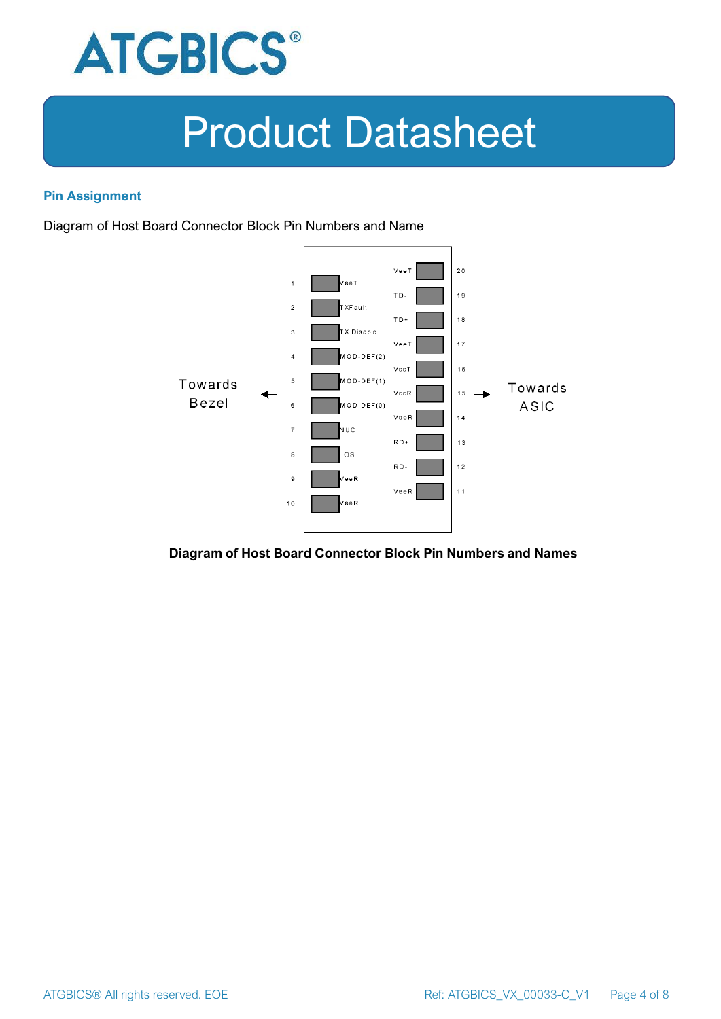

#### **Pin Assignment**

Diagram of Host Board Connector Block Pin Numbers and Name



#### **Diagram of Host Board Connector Block Pin Numbers and Names**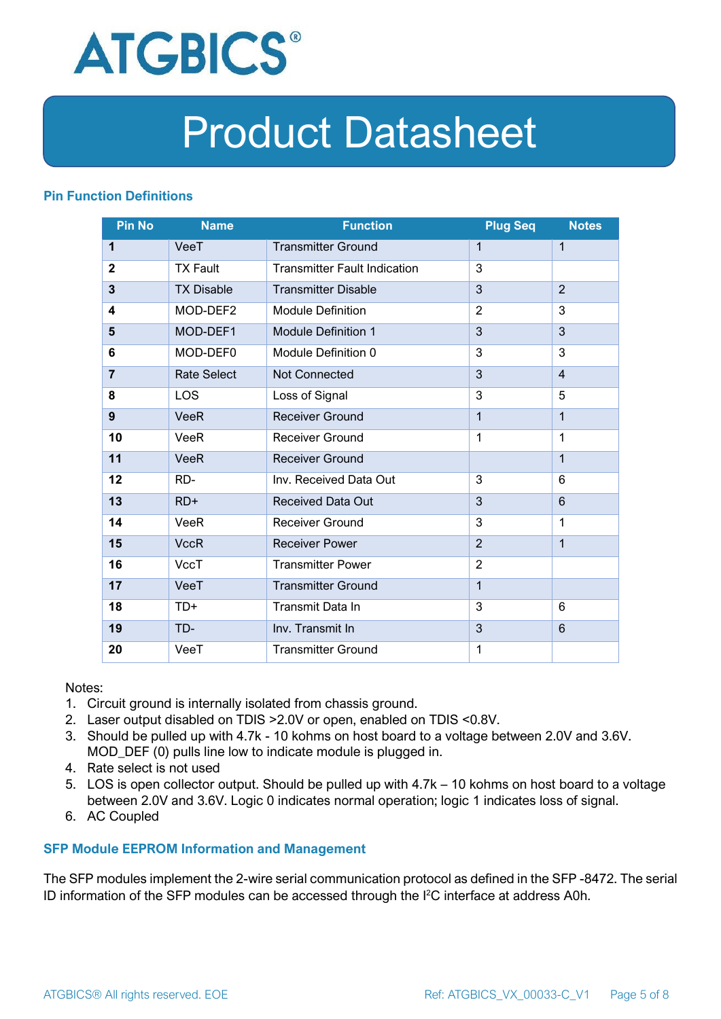

#### **Pin Function Definitions**

| <b>Pin No</b>  | <b>Name</b>        | <b>Function</b>                     | <b>Plug Seq</b> | <b>Notes</b>   |
|----------------|--------------------|-------------------------------------|-----------------|----------------|
| 1              | VeeT               | <b>Transmitter Ground</b>           | $\mathbf 1$     | $\mathbf{1}$   |
| $\overline{2}$ | <b>TX Fault</b>    | <b>Transmitter Fault Indication</b> | 3               |                |
| 3              | <b>TX Disable</b>  | <b>Transmitter Disable</b>          | 3               | $\overline{2}$ |
| 4              | MOD-DEF2           | <b>Module Definition</b>            | $\overline{2}$  | 3              |
| 5              | MOD-DEF1           | <b>Module Definition 1</b>          | 3               | 3              |
| 6              | MOD-DEF0           | Module Definition 0                 | 3               | 3              |
| $\overline{7}$ | <b>Rate Select</b> | <b>Not Connected</b>                | 3               | $\overline{4}$ |
| 8              | <b>LOS</b>         | Loss of Signal                      | 3               | 5              |
| 9              | <b>VeeR</b>        | <b>Receiver Ground</b>              | 1               | $\mathbf{1}$   |
| 10             | VeeR               | <b>Receiver Ground</b>              | 1               | 1              |
| 11             | <b>VeeR</b>        | <b>Receiver Ground</b>              |                 | $\mathbf{1}$   |
| 12             | RD-                | Inv. Received Data Out              | 3               | 6              |
| 13             | $RD+$              | <b>Received Data Out</b>            | 3               | 6              |
| 14             | VeeR               | Receiver Ground                     | 3               | 1              |
| 15             | <b>VccR</b>        | <b>Receiver Power</b>               | $\overline{2}$  | $\mathbf{1}$   |
| 16             | <b>VccT</b>        | <b>Transmitter Power</b>            | $\overline{2}$  |                |
| 17             | VeeT               | <b>Transmitter Ground</b>           | $\mathbf{1}$    |                |
| 18             | $TD+$              | Transmit Data In                    | 3               | 6              |
| 19             | TD-                | Inv. Transmit In                    | 3               | 6              |
| 20             | VeeT               | <b>Transmitter Ground</b>           | 1               |                |

Notes:

- 1. Circuit ground is internally isolated from chassis ground.
- 2. Laser output disabled on TDIS >2.0V or open, enabled on TDIS <0.8V.
- 3. Should be pulled up with 4.7k 10 kohms on host board to a voltage between 2.0V and 3.6V. MOD\_DEF (0) pulls line low to indicate module is plugged in.
- 4. Rate select is not used
- 5. LOS is open collector output. Should be pulled up with 4.7k 10 kohms on host board to a voltage between 2.0V and 3.6V. Logic 0 indicates normal operation; logic 1 indicates loss of signal.
- 6. AC Coupled

#### **SFP Module EEPROM Information and Management**

The SFP modules implement the 2-wire serial communication protocol as defined in the SFP -8472. The serial ID information of the SFP modules can be accessed through the I2C interface at address A0h.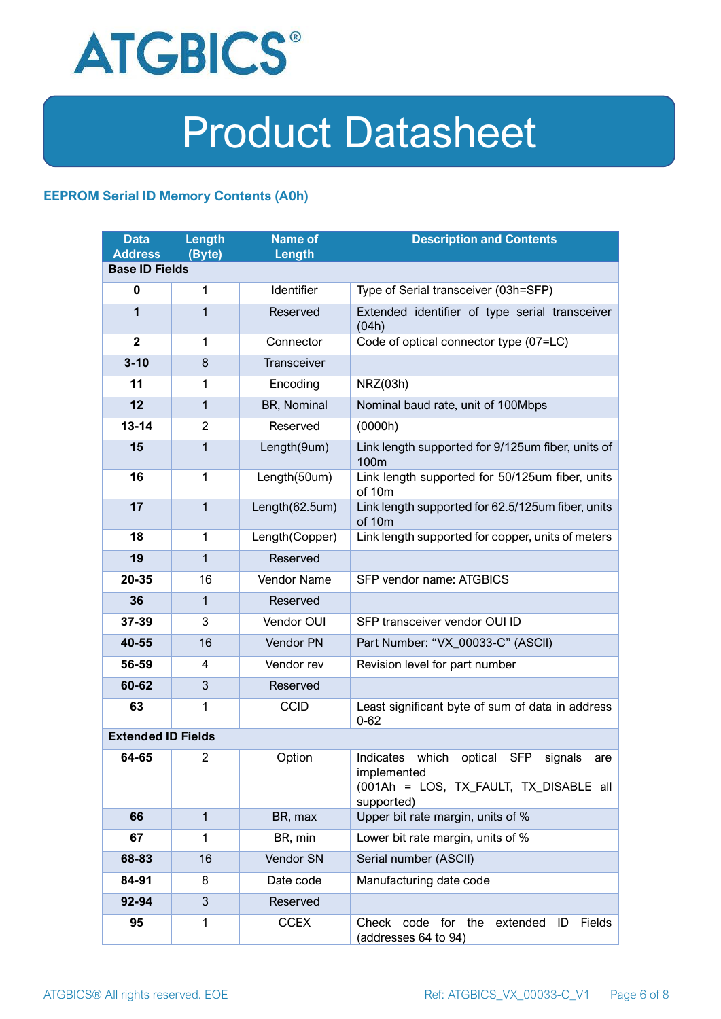

#### **EEPROM Serial ID Memory Contents (A0h)**

| <b>Data</b><br><b>Address</b> | Length<br>(Byte) | <b>Name of</b><br>Length | <b>Description and Contents</b>                                                                                            |  |
|-------------------------------|------------------|--------------------------|----------------------------------------------------------------------------------------------------------------------------|--|
| <b>Base ID Fields</b>         |                  |                          |                                                                                                                            |  |
| $\mathbf 0$                   | $\mathbf{1}$     | Identifier               | Type of Serial transceiver (03h=SFP)                                                                                       |  |
| $\mathbf 1$                   | $\mathbf{1}$     | Reserved                 | Extended identifier of type serial transceiver<br>(04h)                                                                    |  |
| $\mathbf{2}$                  | 1                | Connector                | Code of optical connector type (07=LC)                                                                                     |  |
| $3 - 10$                      | 8                | Transceiver              |                                                                                                                            |  |
| 11                            | 1                | Encoding                 | NRZ(03h)                                                                                                                   |  |
| 12                            | $\mathbf{1}$     | BR, Nominal              | Nominal baud rate, unit of 100Mbps                                                                                         |  |
| $13 - 14$                     | $\overline{2}$   | Reserved                 | (0000h)                                                                                                                    |  |
| 15                            | $\mathbf{1}$     | Length(9um)              | Link length supported for 9/125um fiber, units of<br>100m                                                                  |  |
| 16                            | $\mathbf{1}$     | Length(50um)             | Link length supported for 50/125um fiber, units<br>of 10m                                                                  |  |
| 17                            | $\mathbf{1}$     | Length(62.5um)           | Link length supported for 62.5/125um fiber, units<br>of 10m                                                                |  |
| 18                            | $\mathbf{1}$     | Length(Copper)           | Link length supported for copper, units of meters                                                                          |  |
| 19                            | $\mathbf{1}$     | Reserved                 |                                                                                                                            |  |
| 20-35                         | 16               | Vendor Name              | SFP vendor name: ATGBICS                                                                                                   |  |
| 36                            | $\mathbf{1}$     | Reserved                 |                                                                                                                            |  |
| 37-39                         | 3                | Vendor OUI               | SFP transceiver vendor OUI ID                                                                                              |  |
| 40-55                         | 16               | Vendor PN                | Part Number: "VX_00033-C" (ASCII)                                                                                          |  |
| 56-59                         | 4                | Vendor rev               | Revision level for part number                                                                                             |  |
| 60-62                         | 3                | Reserved                 |                                                                                                                            |  |
| 63                            | 1                | <b>CCID</b>              | Least significant byte of sum of data in address<br>$0 - 62$                                                               |  |
| <b>Extended ID Fields</b>     |                  |                          |                                                                                                                            |  |
| 64-65                         | $\overline{2}$   | Option                   | Indicates which<br>optical<br>SFP<br>signals<br>are<br>implemented<br>(001Ah = LOS, TX_FAULT, TX_DISABLE all<br>supported) |  |
| 66                            | $\mathbf{1}$     | BR, max                  | Upper bit rate margin, units of %                                                                                          |  |
| 67                            | 1                | BR, min                  | Lower bit rate margin, units of %                                                                                          |  |
| 68-83                         | 16               | Vendor SN                | Serial number (ASCII)                                                                                                      |  |
| 84-91                         | 8                | Date code                | Manufacturing date code                                                                                                    |  |
| 92-94                         | 3                | Reserved                 |                                                                                                                            |  |
| 95                            | 1                | <b>CCEX</b>              | Check<br>code for<br>the<br>extended<br>Fields<br>ID<br>(addresses 64 to 94)                                               |  |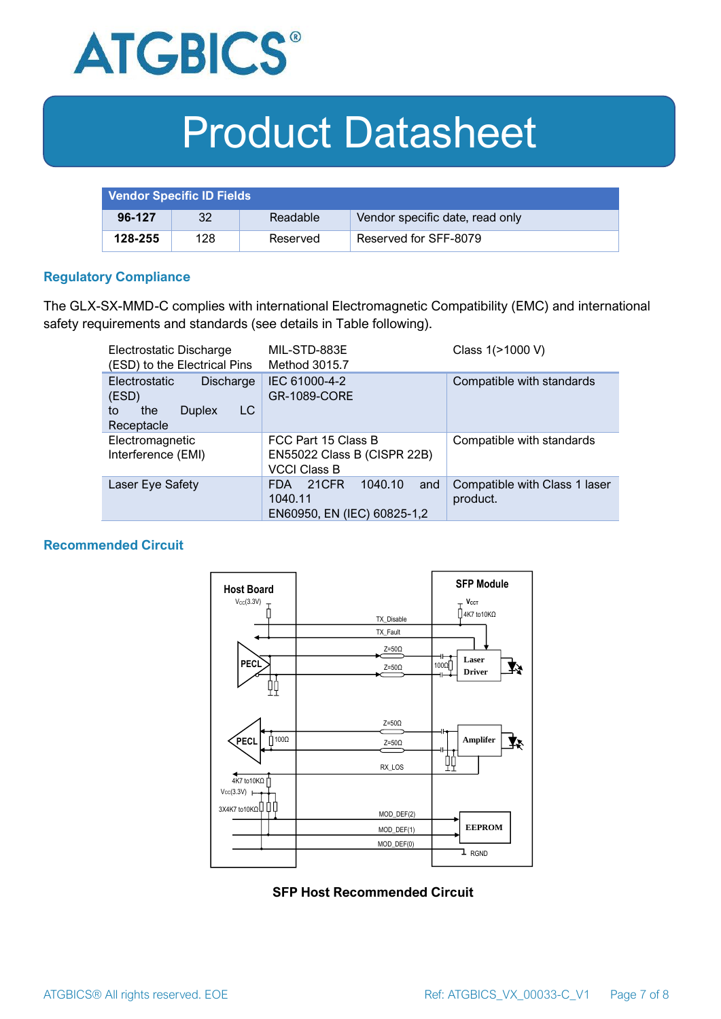

| <b>Vendor Specific ID Fields</b> |     |          |                                 |
|----------------------------------|-----|----------|---------------------------------|
| 96-127                           | 32  | Readable | Vendor specific date, read only |
| 128-255                          | 128 | Reserved | Reserved for SFF-8079           |

#### **Regulatory Compliance**

The GLX-SX-MMD-C complies with international Electromagnetic Compatibility (EMC) and international safety requirements and standards (see details in Table following).

| Electrostatic Discharge<br>(ESD) to the Electrical Pins                                      | MIL-STD-883E<br>Method 3015.7                                                   | Class 1(>1000 V)                          |
|----------------------------------------------------------------------------------------------|---------------------------------------------------------------------------------|-------------------------------------------|
| Electrostatic<br><b>Discharge</b><br>(ESD)<br>LC<br>the<br><b>Duplex</b><br>to<br>Receptacle | IEC 61000-4-2<br><b>GR-1089-CORE</b>                                            | Compatible with standards                 |
| Electromagnetic<br>Interference (EMI)                                                        | FCC Part 15 Class B<br>EN55022 Class B (CISPR 22B)<br><b>VCCI Class B</b>       | Compatible with standards                 |
| Laser Eye Safety                                                                             | 1040.10<br>21CFR<br>and<br><b>FDA</b><br>1040.11<br>EN60950, EN (IEC) 60825-1,2 | Compatible with Class 1 laser<br>product. |

#### **Recommended Circuit**



**SFP Host Recommended Circuit**